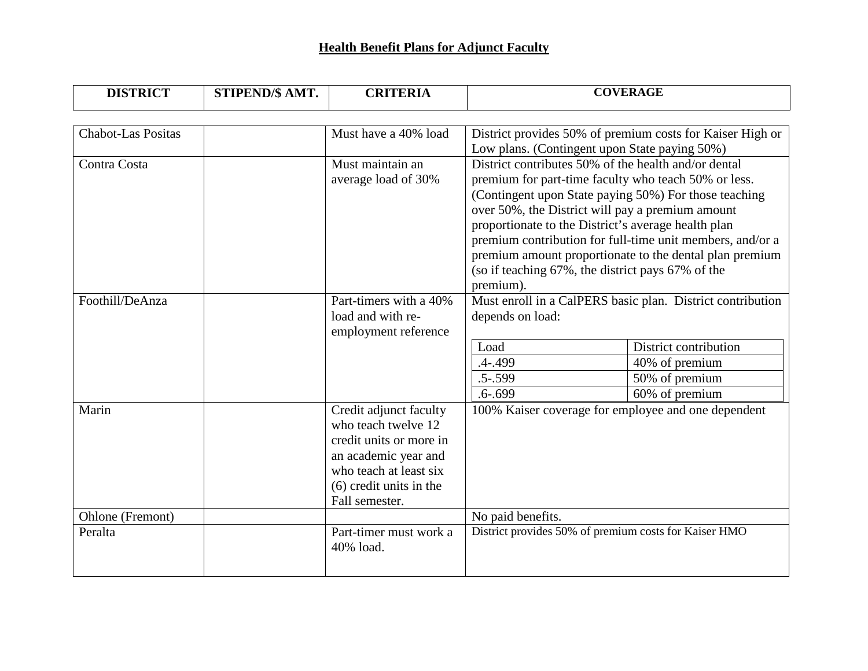## **Health Benefit Plans for Adjunct Faculty**

| <b>DISTRICT</b> | STIPEND/\$ AMT. | <b>CRITERIA</b> | <b>COVERAGE</b> |
|-----------------|-----------------|-----------------|-----------------|
|                 |                 |                 |                 |

| <b>Chabot-Las Positas</b> | Must have a 40% load      | District provides 50% of premium costs for Kaiser High or                                                                                                                              |                       |  |
|---------------------------|---------------------------|----------------------------------------------------------------------------------------------------------------------------------------------------------------------------------------|-----------------------|--|
|                           |                           | Low plans. (Contingent upon State paying 50%)                                                                                                                                          |                       |  |
| Contra Costa              | Must maintain an          | District contributes 50% of the health and/or dental                                                                                                                                   |                       |  |
|                           | average load of 30%       | premium for part-time faculty who teach 50% or less.                                                                                                                                   |                       |  |
|                           |                           | (Contingent upon State paying 50%) For those teaching                                                                                                                                  |                       |  |
|                           |                           | over 50%, the District will pay a premium amount                                                                                                                                       |                       |  |
|                           |                           | proportionate to the District's average health plan                                                                                                                                    |                       |  |
|                           |                           | premium contribution for full-time unit members, and/or a<br>premium amount proportionate to the dental plan premium<br>(so if teaching 67%, the district pays 67% of the<br>premium). |                       |  |
|                           |                           |                                                                                                                                                                                        |                       |  |
|                           |                           |                                                                                                                                                                                        |                       |  |
|                           |                           |                                                                                                                                                                                        |                       |  |
| Foothill/DeAnza           | Part-timers with a 40%    | Must enroll in a CalPERS basic plan. District contribution                                                                                                                             |                       |  |
|                           | load and with re-         | depends on load:                                                                                                                                                                       |                       |  |
|                           | employment reference      |                                                                                                                                                                                        |                       |  |
|                           |                           | Load                                                                                                                                                                                   | District contribution |  |
|                           |                           | $.4 - .499$                                                                                                                                                                            | 40% of premium        |  |
|                           |                           | $.5 - .599$                                                                                                                                                                            | 50% of premium        |  |
|                           |                           | $.6 - .699$                                                                                                                                                                            | 60% of premium        |  |
| Marin                     | Credit adjunct faculty    | 100% Kaiser coverage for employee and one dependent                                                                                                                                    |                       |  |
|                           | who teach twelve 12       |                                                                                                                                                                                        |                       |  |
|                           | credit units or more in   |                                                                                                                                                                                        |                       |  |
|                           | an academic year and      |                                                                                                                                                                                        |                       |  |
|                           | who teach at least six    |                                                                                                                                                                                        |                       |  |
|                           | $(6)$ credit units in the |                                                                                                                                                                                        |                       |  |
|                           | Fall semester.            |                                                                                                                                                                                        |                       |  |
| Ohlone (Fremont)          |                           | No paid benefits.                                                                                                                                                                      |                       |  |
| Peralta                   | Part-timer must work a    | District provides 50% of premium costs for Kaiser HMO                                                                                                                                  |                       |  |
|                           | 40% load.                 |                                                                                                                                                                                        |                       |  |
|                           |                           |                                                                                                                                                                                        |                       |  |
|                           |                           |                                                                                                                                                                                        |                       |  |